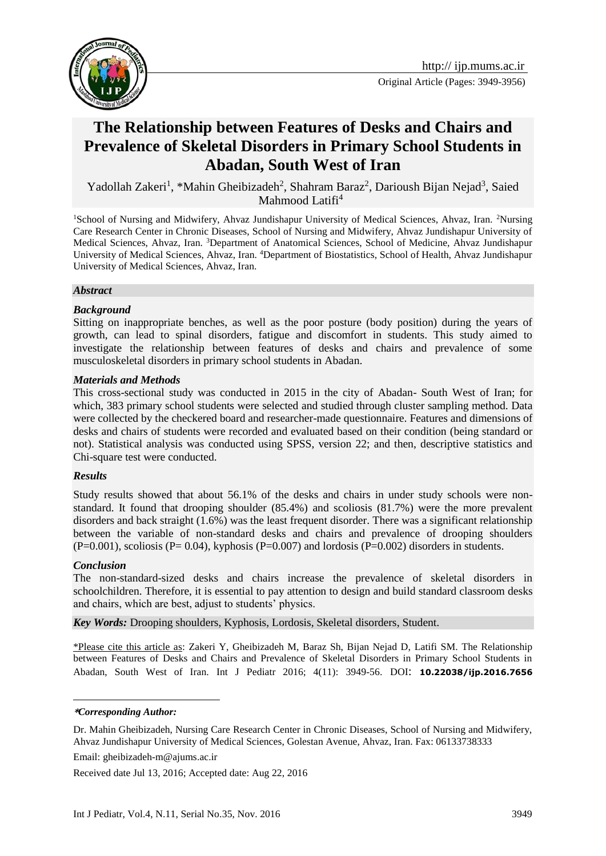

Original Article (Pages: 3949-3956)

# **The Relationship between Features of Desks and Chairs and Prevalence of Skeletal Disorders in Primary School Students in Abadan, South West of Iran**

Yadollah Zakeri<sup>1</sup>, \*Mahin Gheibizadeh<sup>2</sup>, Shahram Baraz<sup>2</sup>, Darioush Bijan Nejad<sup>3</sup>, Saied Mahmood Latifi $4$ 

<sup>1</sup>School of Nursing and Midwifery, Ahvaz Jundishapur University of Medical Sciences, Ahvaz, Iran. <sup>2</sup>Nursing Care Research Center in Chronic Diseases, School of Nursing and Midwifery, Ahvaz Jundishapur University of Medical Sciences, Ahvaz, Iran. <sup>3</sup>Department of Anatomical Sciences, School of Medicine, Ahvaz Jundishapur University of Medical Sciences, Ahvaz, Iran. <sup>4</sup>Department of Biostatistics, School of Health, Ahvaz Jundishapur University of Medical Sciences, Ahvaz, Iran.

#### *Abstract*

#### *Background*

Sitting on inappropriate benches, as well as the poor posture (body position) during the years of growth, can lead to spinal disorders, fatigue and discomfort in students. This study aimed to investigate the relationship between features of desks and chairs and prevalence of some musculoskeletal disorders in primary school students in Abadan.

#### *Materials and Methods*

This cross-sectional study was conducted in 2015 in the city of Abadan- South West of Iran; for which, 383 primary school students were selected and studied through cluster sampling method. Data were collected by the checkered board and researcher-made questionnaire. Features and dimensions of desks and chairs of students were recorded and evaluated based on their condition (being standard or not). Statistical analysis was conducted using SPSS, version 22; and then, descriptive statistics and Chi-square test were conducted.

#### *Results*

Study results showed that about 56.1% of the desks and chairs in under study schools were nonstandard. It found that drooping shoulder (85.4%) and scoliosis (81.7%) were the more prevalent disorders and back straight (1.6%) was the least frequent disorder. There was a significant relationship between the variable of non-standard desks and chairs and prevalence of drooping shoulders  $(P=0.001)$ , scoliosis (P=0.04), kyphosis (P=0.007) and lordosis (P=0.002) disorders in students.

#### *Conclusion*

1

The non-standard-sized desks and chairs increase the prevalence of skeletal disorders in schoolchildren. Therefore, it is essential to pay attention to design and build standard classroom desks and chairs, which are best, adjust to students' physics.

*Key Words:* Drooping shoulders, Kyphosis, Lordosis, Skeletal disorders, Student.

\*Please cite this article as: Zakeri Y, Gheibizadeh M, Baraz Sh, Bijan Nejad D, Latifi SM. The Relationship between Features of Desks and Chairs and Prevalence of Skeletal Disorders in Primary School Students in Abadan, South West of Iran. Int J Pediatr 2016; 4(11): 3949-56. DOI: **10.22038/ijp.2016.7656**

Email: [gheibizadeh-m@ajums.ac.ir](mailto:gheibizadeh-m@ajums.ac.ir)

Received date Jul 13, 2016; Accepted date: Aug 22, 2016

**<sup>\*</sup>***Corresponding Author:*

Dr. Mahin Gheibizadeh, Nursing Care Research Center in Chronic Diseases, School of Nursing and Midwifery, Ahvaz Jundishapur University of Medical Sciences, Golestan Avenue, Ahvaz, Iran. Fax: 06133738333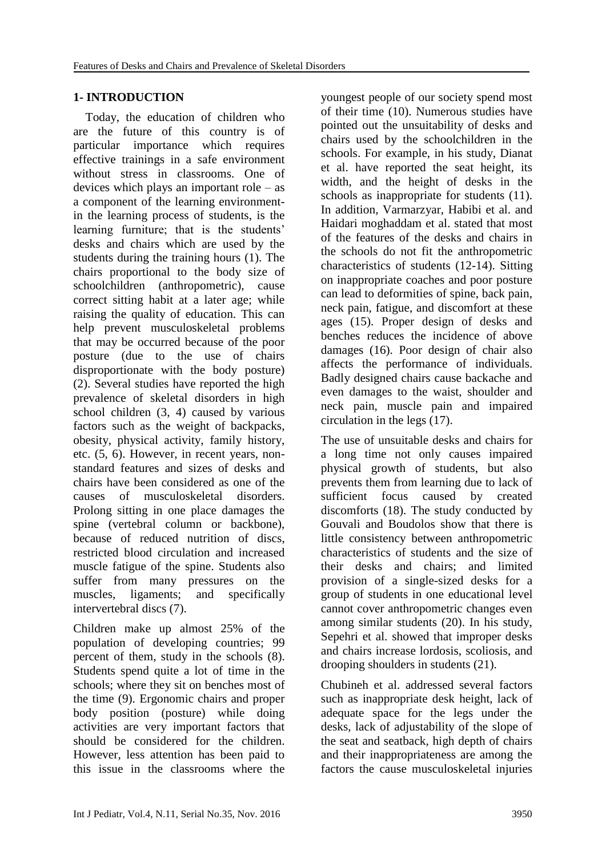### **1- INTRODUCTION**

 Today, the education of children who are the future of this country is of particular importance which requires effective trainings in a safe environment without stress in classrooms. One of devices which plays an important role – as a component of the learning environmentin the learning process of students, is the learning furniture; that is the students' desks and chairs which are used by the students during the training hours (1). The chairs proportional to the body size of schoolchildren (anthropometric), cause correct sitting habit at a later age; while raising the quality of education. This can help prevent musculoskeletal problems that may be occurred because of the poor posture (due to the use of chairs disproportionate with the body posture) (2). Several studies have reported the high prevalence of skeletal disorders in high school children (3, 4) caused by various factors such as the weight of backpacks, obesity, physical activity, family history, etc. (5, 6). However, in recent years, nonstandard features and sizes of desks and chairs have been considered as one of the causes of musculoskeletal disorders. Prolong sitting in one place damages the spine (vertebral column or backbone), because of reduced nutrition of discs, restricted blood circulation and increased muscle fatigue of the spine. Students also suffer from many pressures on the muscles, ligaments; and specifically intervertebral discs (7).

Children make up almost 25% of the population of developing countries; 99 percent of them, study in the schools (8). Students spend quite a lot of time in the schools; where they sit on benches most of the time (9). Ergonomic chairs and proper body position (posture) while doing activities are very important factors that should be considered for the children. However, less attention has been paid to this issue in the classrooms where the

youngest people of our society spend most of their time (10). Numerous studies have pointed out the unsuitability of desks and chairs used by the schoolchildren in the schools. For example, in his study, Dianat et al. have reported the seat height, its width, and the height of desks in the schools as inappropriate for students (11). In addition, Varmarzyar, Habibi et al. and Haidari moghaddam et al. stated that most of the features of the desks and chairs in the schools do not fit the anthropometric characteristics of students (12-14). Sitting on inappropriate coaches and poor posture can lead to deformities of spine, back pain, neck pain, fatigue, and discomfort at these ages (15). Proper design of desks and benches reduces the incidence of above damages (16). Poor design of chair also affects the performance of individuals. Badly designed chairs cause backache and even damages to the waist, shoulder and neck pain, muscle pain and impaired circulation in the legs (17).

The use of unsuitable desks and chairs for a long time not only causes impaired physical growth of students, but also prevents them from learning due to lack of sufficient focus caused by created discomforts (18). The study conducted by Gouvali and Boudolos show that there is little consistency between anthropometric characteristics of students and the size of their desks and chairs; and limited provision of a single-sized desks for a group of students in one educational level cannot cover anthropometric changes even among similar students (20). In his study, Sepehri et al. showed that improper desks and chairs increase lordosis, scoliosis, and drooping shoulders in students (21).

Chubineh et al. addressed several factors such as inappropriate desk height, lack of adequate space for the legs under the desks, lack of adjustability of the slope of the seat and seatback, high depth of chairs and their inappropriateness are among the factors the cause musculoskeletal injuries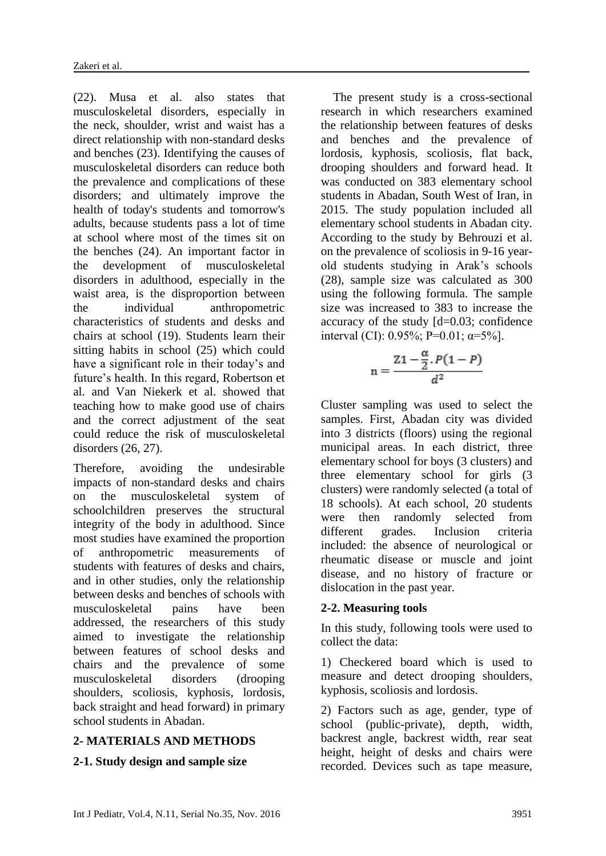(22). Musa et al. also states that musculoskeletal disorders, especially in the neck, shoulder, wrist and waist has a direct relationship with non-standard desks and benches (23). Identifying the causes of musculoskeletal disorders can reduce both the prevalence and complications of these disorders; and ultimately improve the health of today's students and tomorrow's adults, because students pass a lot of time at school where most of the times sit on the benches (24). An important factor in the development of musculoskeletal disorders in adulthood, especially in the waist area, is the disproportion between the individual anthropometric characteristics of students and desks and chairs at school (19). Students learn their sitting habits in school (25) which could have a significant role in their today's and future's health. In this regard, Robertson et al. and Van Niekerk et al. showed that teaching how to make good use of chairs and the correct adjustment of the seat could reduce the risk of musculoskeletal disorders (26, 27).

Therefore, avoiding the undesirable impacts of non-standard desks and chairs on the musculoskeletal system of schoolchildren preserves the structural integrity of the body in adulthood. Since most studies have examined the proportion of anthropometric measurements of students with features of desks and chairs, and in other studies, only the relationship between desks and benches of schools with musculoskeletal pains have been addressed, the researchers of this study aimed to investigate the relationship between features of school desks and chairs and the prevalence of some musculoskeletal disorders (drooping shoulders, scoliosis, kyphosis, lordosis, back straight and head forward) in primary school students in Abadan.

### **2- MATERIALS AND METHODS**

### **2-1. Study design and sample size**

 The present study is a cross-sectional research in which researchers examined the relationship between features of desks and benches and the prevalence of lordosis, kyphosis, scoliosis, flat back, drooping shoulders and forward head. It was conducted on 383 elementary school students in Abadan, South West of Iran, in 2015. The study population included all elementary school students in Abadan city. According to the study by Behrouzi et al. on the prevalence of scoliosis in 9-16 yearold students studying in Arak's schools (28), sample size was calculated as 300 using the following formula. The sample size was increased to 383 to increase the accuracy of the study [d=0.03; confidence interval (CI): 0.95%; P=0.01;  $\alpha$ =5%].

$$
n = \frac{Z1 - \frac{\alpha}{2} P(1 - P)}{d^2}
$$

Cluster sampling was used to select the samples. First, Abadan city was divided into 3 districts (floors) using the regional municipal areas. In each district, three elementary school for boys (3 clusters) and three elementary school for girls (3 clusters) were randomly selected (a total of 18 schools). At each school, 20 students were then randomly selected from different grades. Inclusion criteria included: the absence of neurological or rheumatic disease or muscle and joint disease, and no history of fracture or dislocation in the past year.

### **2-2. Measuring tools**

In this study, following tools were used to collect the data:

1) Checkered board which is used to measure and detect drooping shoulders, kyphosis, scoliosis and lordosis.

2) Factors such as age, gender, type of school (public-private), depth, width, backrest angle, backrest width, rear seat height, height of desks and chairs were recorded. Devices such as tape measure,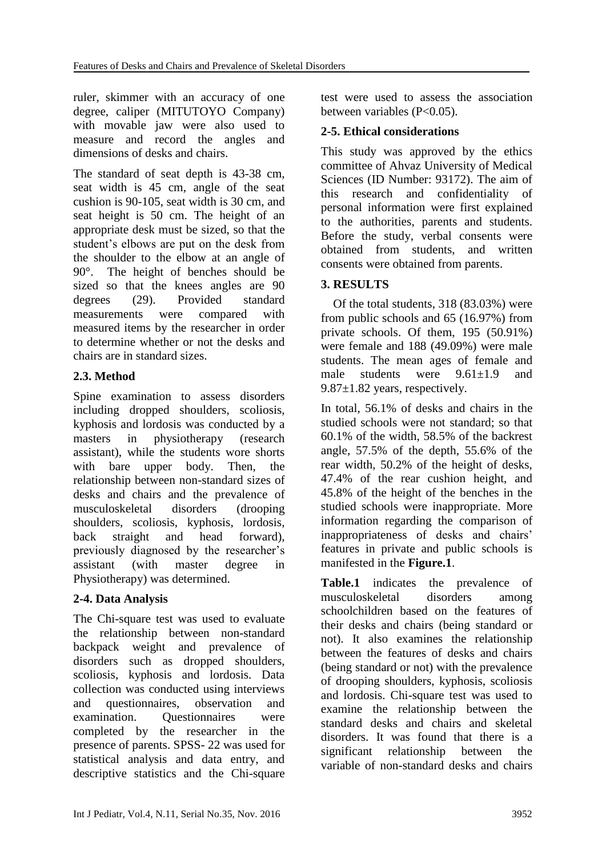ruler, skimmer with an accuracy of one degree, caliper (MITUTOYO Company) with movable jaw were also used to measure and record the angles and dimensions of desks and chairs.

The standard of seat depth is 43-38 cm, seat width is 45 cm, angle of the seat cushion is 90-105, seat width is 30 cm, and seat height is 50 cm. The height of an appropriate desk must be sized, so that the student's elbows are put on the desk from the shoulder to the elbow at an angle of 90°. The height of benches should be sized so that the knees angles are 90 degrees (29). Provided standard measurements were compared with measured items by the researcher in order to determine whether or not the desks and chairs are in standard sizes.

### **2.3. Method**

Spine examination to assess disorders including dropped shoulders, scoliosis, kyphosis and lordosis was conducted by a masters in physiotherapy (research assistant), while the students wore shorts with bare upper body. Then, the relationship between non-standard sizes of desks and chairs and the prevalence of musculoskeletal disorders (drooping shoulders, scoliosis, kyphosis, lordosis, back straight and head forward), previously diagnosed by the researcher's assistant (with master degree in Physiotherapy) was determined.

### **2-4. Data Analysis**

The Chi-square test was used to evaluate the relationship between non-standard backpack weight and prevalence of disorders such as dropped shoulders, scoliosis, kyphosis and lordosis. Data collection was conducted using interviews and questionnaires, observation and examination. Questionnaires were completed by the researcher in the presence of parents. SPSS- 22 was used for statistical analysis and data entry, and descriptive statistics and the Chi-square

test were used to assess the association between variables (P<0.05).

### **2-5. Ethical considerations**

This study was approved by the ethics committee of Ahvaz University of Medical Sciences (ID Number: 93172). The aim of this research and confidentiality of personal information were first explained to the authorities, parents and students. Before the study, verbal consents were obtained from students, and written consents were obtained from parents.

### **3. RESULTS**

 Of the total students, 318 (83.03%) were from public schools and 65 (16.97%) from private schools. Of them, 195 (50.91%) were female and 188 (49.09%) were male students. The mean ages of female and male students were 9.61+1.9 and 9.87±1.82 years, respectively.

In total, 56.1% of desks and chairs in the studied schools were not standard; so that 60.1% of the width, 58.5% of the backrest angle, 57.5% of the depth, 55.6% of the rear width, 50.2% of the height of desks, 47.4% of the rear cushion height, and 45.8% of the height of the benches in the studied schools were inappropriate. More information regarding the comparison of inappropriateness of desks and chairs' features in private and public schools is manifested in the **Figure.1**.

**Table.1** indicates the prevalence of musculoskeletal disorders among schoolchildren based on the features of their desks and chairs (being standard or not). It also examines the relationship between the features of desks and chairs (being standard or not) with the prevalence of drooping shoulders, kyphosis, scoliosis and lordosis. Chi-square test was used to examine the relationship between the standard desks and chairs and skeletal disorders. It was found that there is a significant relationship between the variable of non-standard desks and chairs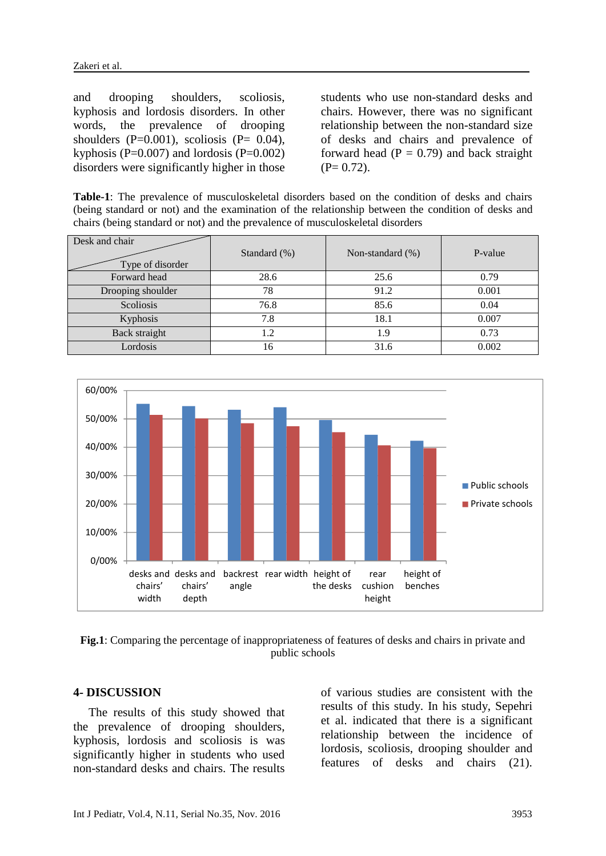and drooping shoulders, scoliosis, kyphosis and lordosis disorders. In other words, the prevalence of drooping shoulders  $(P=0.001)$ , scoliosis  $(P= 0.04)$ , kyphosis ( $P=0.007$ ) and lordosis ( $P=0.002$ ) disorders were significantly higher in those students who use non-standard desks and chairs. However, there was no significant relationship between the non-standard size of desks and chairs and prevalence of forward head  $(P = 0.79)$  and back straight  $(P= 0.72)$ .

**Table-1**: The prevalence of musculoskeletal disorders based on the condition of desks and chairs (being standard or not) and the examination of the relationship between the condition of desks and chairs (being standard or not) and the prevalence of musculoskeletal disorders

| Desk and chair<br>Type of disorder | Standard (%) | Non-standard (%) | P-value |
|------------------------------------|--------------|------------------|---------|
| Forward head                       | 28.6         | 25.6             | 0.79    |
| Drooping shoulder                  | 78           | 91.2             | 0.001   |
| Scoliosis                          | 76.8         | 85.6             | 0.04    |
| Kyphosis                           | 7.8          | 18.1             | 0.007   |
| Back straight                      | 1.2          | 1.9              | 0.73    |
| Lordosis                           | 16           | 31.6             | 0.002   |



**Fig.1**: Comparing the percentage of inappropriateness of features of desks and chairs in private and public schools

#### **4- DISCUSSION**

 The results of this study showed that the prevalence of drooping shoulders, kyphosis, lordosis and scoliosis is was significantly higher in students who used non-standard desks and chairs. The results

of various studies are consistent with the results of this study. In his study, Sepehri et al. indicated that there is a significant relationship between the incidence of lordosis, scoliosis, drooping shoulder and features of desks and chairs (21).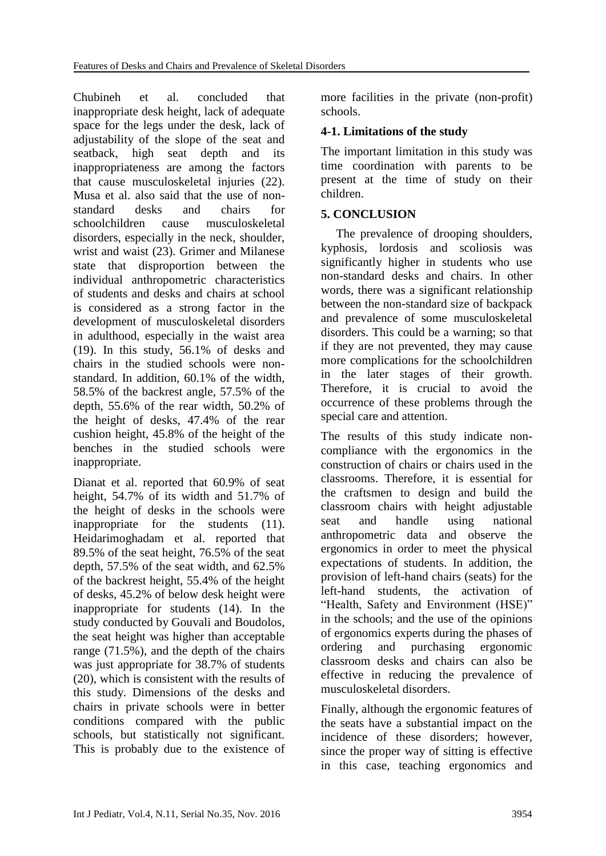Chubineh et al. concluded that inappropriate desk height, lack of adequate space for the legs under the desk, lack of adjustability of the slope of the seat and seatback, high seat depth and its inappropriateness are among the factors that cause musculoskeletal injuries (22). Musa et al. also said that the use of nonstandard desks and chairs for schoolchildren cause musculoskeletal disorders, especially in the neck, shoulder, wrist and waist (23). Grimer and Milanese state that disproportion between the individual anthropometric characteristics of students and desks and chairs at school is considered as a strong factor in the development of musculoskeletal disorders in adulthood, especially in the waist area (19). In this study, 56.1% of desks and chairs in the studied schools were nonstandard. In addition, 60.1% of the width, 58.5% of the backrest angle, 57.5% of the depth, 55.6% of the rear width, 50.2% of the height of desks, 47.4% of the rear cushion height, 45.8% of the height of the benches in the studied schools were inappropriate.

Dianat et al. reported that 60.9% of seat height, 54.7% of its width and 51.7% of the height of desks in the schools were inappropriate for the students (11). Heidarimoghadam et al. reported that 89.5% of the seat height, 76.5% of the seat depth, 57.5% of the seat width, and 62.5% of the backrest height, 55.4% of the height of desks, 45.2% of below desk height were inappropriate for students (14). In the study conducted by Gouvali and Boudolos, the seat height was higher than acceptable range (71.5%), and the depth of the chairs was just appropriate for 38.7% of students (20), which is consistent with the results of this study. Dimensions of the desks and chairs in private schools were in better conditions compared with the public schools, but statistically not significant. This is probably due to the existence of more facilities in the private (non-profit) schools.

# **4-1. Limitations of the study**

The important limitation in this study was time coordination with parents to be present at the time of study on their children.

## **5. CONCLUSION**

 The prevalence of drooping shoulders, kyphosis, lordosis and scoliosis was significantly higher in students who use non-standard desks and chairs. In other words, there was a significant relationship between the non-standard size of backpack and prevalence of some musculoskeletal disorders. This could be a warning; so that if they are not prevented, they may cause more complications for the schoolchildren in the later stages of their growth. Therefore, it is crucial to avoid the occurrence of these problems through the special care and attention.

The results of this study indicate noncompliance with the ergonomics in the construction of chairs or chairs used in the classrooms. Therefore, it is essential for the craftsmen to design and build the classroom chairs with height adjustable seat and handle using national anthropometric data and observe the ergonomics in order to meet the physical expectations of students. In addition, the provision of left-hand chairs (seats) for the left-hand students, the activation of "Health, Safety and Environment (HSE)" in the schools; and the use of the opinions of ergonomics experts during the phases of ordering and purchasing ergonomic classroom desks and chairs can also be effective in reducing the prevalence of musculoskeletal disorders.

Finally, although the ergonomic features of the seats have a substantial impact on the incidence of these disorders; however, since the proper way of sitting is effective in this case, teaching ergonomics and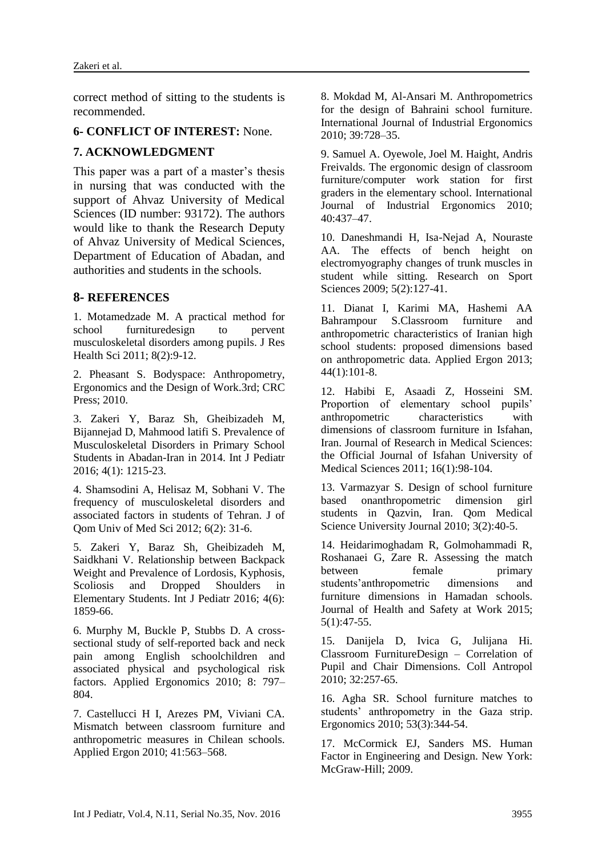correct method of sitting to the students is recommended.

#### **6- CONFLICT OF INTEREST:** None.

### **7. ACKNOWLEDGMENT**

This paper was a part of a master's thesis in nursing that was conducted with the support of Ahvaz University of Medical Sciences (ID number: 93172). The authors would like to thank the Research Deputy of Ahvaz University of Medical Sciences, Department of Education of Abadan, and authorities and students in the schools.

#### **8- REFERENCES**

1. Motamedzade M. A practical method for school furnituredesign to pervent musculoskeletal disorders among pupils. J Res Health Sci 2011; 8(2):9-12.

2. Pheasant S. Bodyspace: Anthropometry, Ergonomics and the Design of Work.3rd; CRC Press; 2010.

3. Zakeri Y, Baraz Sh, Gheibizadeh M, Bijannejad D, Mahmood latifi S. Prevalence of Musculoskeletal Disorders in Primary School Students in Abadan-Iran in 2014. Int J Pediatr 2016; 4(1): 1215-23.

4. Shamsodini A, Helisaz M, Sobhani V. The frequency of musculoskeletal disorders and associated factors in students of Tehran. J of Qom Univ of Med Sci 2012; 6(2): 31-6.

5. Zakeri Y, Baraz Sh, Gheibizadeh M, Saidkhani V. Relationship between Backpack Weight and Prevalence of Lordosis, Kyphosis, Scoliosis and Dropped Shoulders in Elementary Students. Int J Pediatr 2016; 4(6): 1859-66.

6. Murphy M, Buckle P, Stubbs D. A crosssectional study of self-reported back and neck pain among English schoolchildren and associated physical and psychological risk factors. Applied Ergonomics 2010; 8: 797– 804.

7. Castellucci H I, Arezes PM, Viviani CA. Mismatch between classroom furniture and anthropometric measures in Chilean schools. Applied Ergon 2010; 41:563–568.

8. Mokdad M, Al-Ansari M. Anthropometrics for the design of Bahraini school furniture. International Journal of Industrial Ergonomics 2010; 39:728–35.

9. Samuel A. Oyewole, Joel M. Haight, Andris Freivalds. The ergonomic design of classroom furniture/computer work station for first graders in the elementary school. International Journal of Industrial Ergonomics 2010; 40:437–47.

10. Daneshmandi H, Isa-Nejad A, Nouraste AA. The effects of bench height on electromyography changes of trunk muscles in student while sitting. Research on Sport Sciences 2009; 5(2):127-41.

11. Dianat I, Karimi MA, Hashemi AA Bahrampour S.Classroom furniture and anthropometric characteristics of Iranian high school students: proposed dimensions based on anthropometric data. Applied Ergon 2013;  $44(1):101-8.$ 

12. Habibi E, Asaadi Z, Hosseini SM. Proportion of elementary school pupils' anthropometric characteristics with dimensions of classroom furniture in Isfahan, Iran. Journal of Research in Medical Sciences: the Official Journal of Isfahan University of Medical Sciences 2011; 16(1):98-104.

13. Varmazyar S. Design of school furniture based onanthropometric dimension girl students in Qazvin, Iran. Qom Medical Science University Journal 2010; 3(2):40-5.

14. Heidarimoghadam R, Golmohammadi R, Roshanaei G, Zare R. Assessing the match between female primary students'anthropometric dimensions and furniture dimensions in Hamadan schools. Journal of Health and Safety at Work 2015; 5(1):47-55.

15. Danijela D, Ivica G, Julijana Hi. Classroom FurnitureDesign – Correlation of Pupil and Chair Dimensions. Coll Antropol 2010; 32:257-65.

16. Agha SR. School furniture matches to students' anthropometry in the Gaza strip. Ergonomics 2010; 53(3):344-54.

17. McCormick [EJ,](https://www.google.com/search?biw=1366&bih=673&q=Ernest+J.+McCormick&stick=H4sIAAAAAAAAAOPgE-LWz9U3MDTKSC6szFLi1U_XNzRMqqiIN00vqNSSyU620k_Kz8_WLy_KLClJzYsvzy_KtkosLcnILwIAxMNUDzwAAAA&sa=X&ved=0ahUKEwi0le7VoKHQAhUE7xQKHaeDAwMQmxMIfigBMBA) Sanders [MS.](https://www.google.com/search?biw=1366&bih=673&q=Mark+S.+Sanders&stick=H4sIAAAAAAAAAOPgE-LWz9U3MDTKSC6szFLi1U_XNzRMqqgsLrcwK9OSyU620k_Kz8_WLy_KLClJzYsvzy_KtkosLcnILwIAXKtMHzwAAAA&sa=X&ved=0ahUKEwi0le7VoKHQAhUE7xQKHaeDAwMQmxMIfygCMBA) Human Factor in Engineering and Design. New York: McGraw-Hill; 2009.